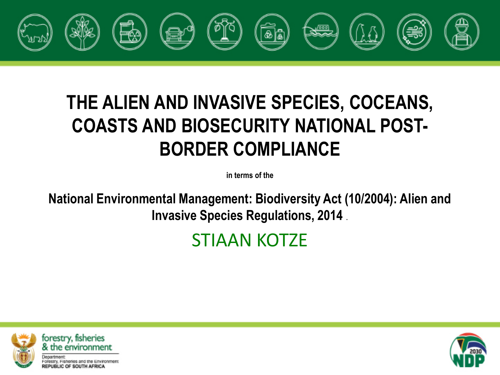

### **THE ALIEN AND INVASIVE SPECIES, COCEANS, COASTS AND BIOSECURITY NATIONAL POST-BORDER COMPLIANCE**

**in terms of the**

**National Environmental Management: Biodiversity Act (10/2004): Alien and Invasive Species Regulations, 2014** .

#### STIAAN KOTZE



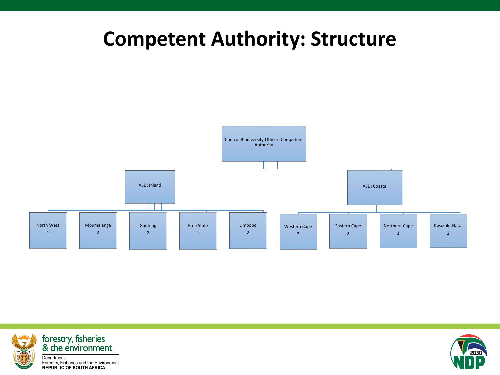#### **Competent Authority: Structure**





forestry, fisheries<br>& the environment Department: Forestry, Fisheries and the Environment

**REPUBLIC OF SOUTH AFRICA** 

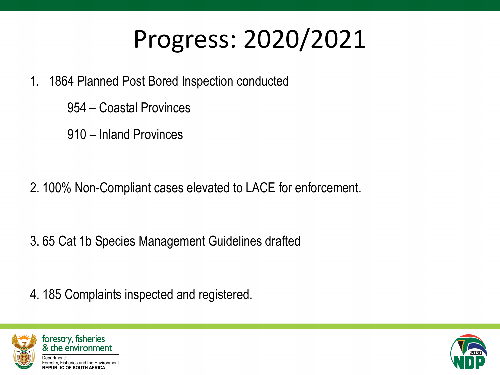## Progress: 2020/2021

- 1. 1864 Planned Post Bored Inspection conducted
	- 954 Coastal Provinces
	- 910 Inland Provinces
- 2. 100% Non-Compliant cases elevated to LACE for enforcement.
- 3. 65 Cat 1b Species Management Guidelines drafted
- 4. 185 Complaints inspected and registered.





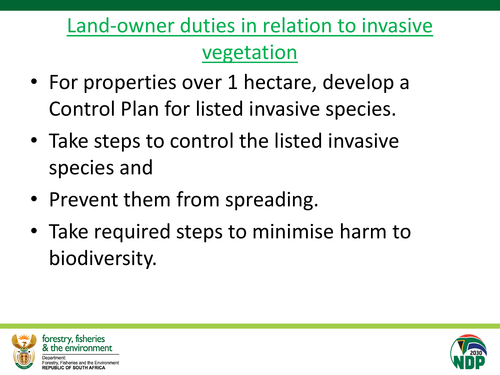## Land-owner duties in relation to invasive vegetation

- For properties over 1 hectare, develop a Control Plan for listed invasive species.
- Take steps to control the listed invasive species and
- Prevent them from spreading.
- Take required steps to minimise harm to biodiversity.





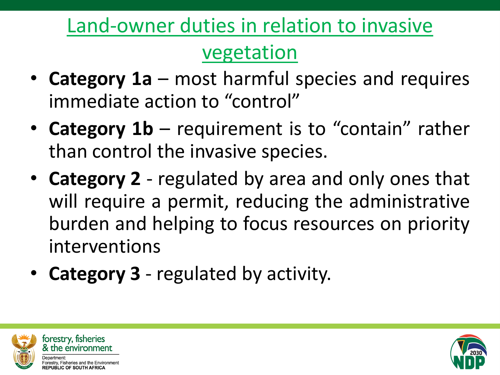## Land-owner duties in relation to invasive vegetation

- **Category 1a** most harmful species and requires immediate action to "control"
- **Category 1b** requirement is to "contain" rather than control the invasive species.
- **Category 2** regulated by area and only ones that will require a permit, reducing the administrative burden and helping to focus resources on priority interventions
- **Category 3** regulated by activity.





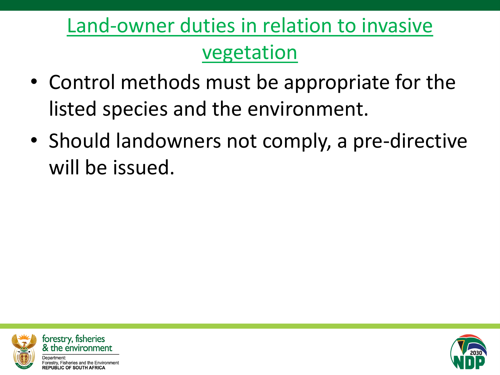## Land-owner duties in relation to invasive vegetation

- Control methods must be appropriate for the listed species and the environment.
- Should landowners not comply, a pre-directive will be issued.





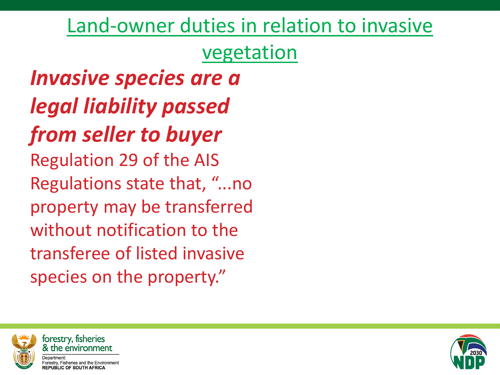#### Land-owner duties in relation to invasive

vegetation

*Invasive species are a legal liability passed from seller to buyer* Regulation 29 of the AIS Regulations state that, "...no property may be transferred without notification to the transferee of listed invasive species on the property."



forestry, fisheries & the environment Forestry, Fisheries and the Environment REPUBLIC OF SOUTH AFRICA

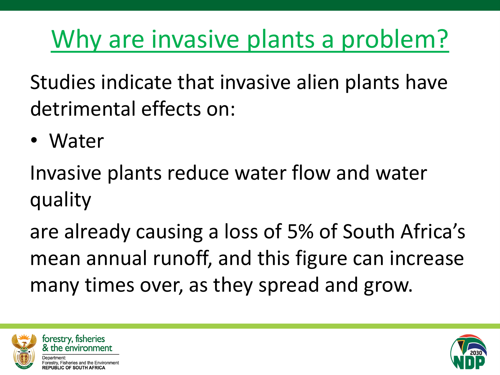## Why are invasive plants a problem?

Studies indicate that invasive alien plants have detrimental effects on:

• Water

Invasive plants reduce water flow and water quality

are already causing a loss of 5% of South Africa's mean annual runoff, and this figure can increase many times over, as they spread and grow.





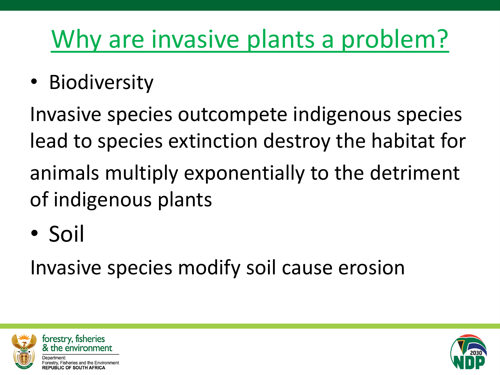## Why are invasive plants a problem?

• Biodiversity

Invasive species outcompete indigenous species lead to species extinction destroy the habitat for animals multiply exponentially to the detriment

of indigenous plants

• Soil

Invasive species modify soil cause erosion





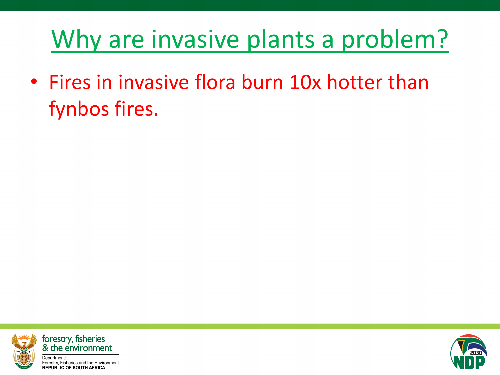## Why are invasive plants a problem?

• Fires in invasive flora burn 10x hotter than fynbos fires.





Forestry, Fisheries and the Environment REPUBLIC OF SOUTH AFRICA

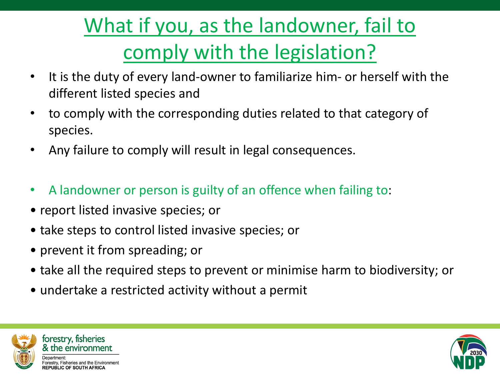## What if you, as the landowner, fail to comply with the legislation?

- It is the duty of every land-owner to familiarize him- or herself with the different listed species and
- to comply with the corresponding duties related to that category of species.
- Any failure to comply will result in legal consequences.
- A landowner or person is guilty of an offence when failing to:
- report listed invasive species; or
- take steps to control listed invasive species; or
- prevent it from spreading; or
- take all the required steps to prevent or minimise harm to biodiversity; or
- undertake a restricted activity without a permit



forestry, fisheries **& the environment Fisheries and the Environment** EPUBLIC OF SOUTH AFRICA

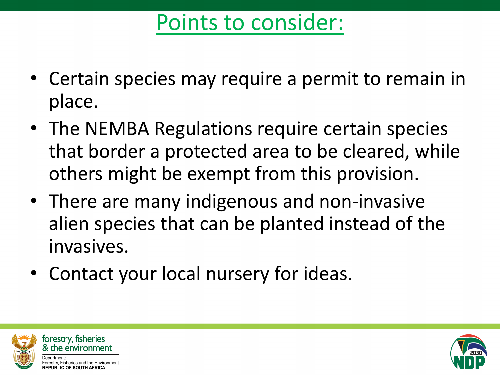## Points to consider:

- Certain species may require a permit to remain in place.
- The NEMBA Regulations require certain species that border a protected area to be cleared, while others might be exempt from this provision.
- There are many indigenous and non-invasive alien species that can be planted instead of the invasives.
- Contact your local nursery for ideas.





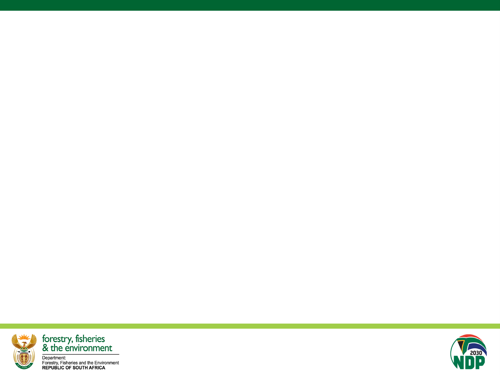

forestry, fisheries<br>& the environment

Department:<br>Department:<br>Forestry, Fisheries and the Environment<br>REPUBLIC OF SOUTH AFRICA